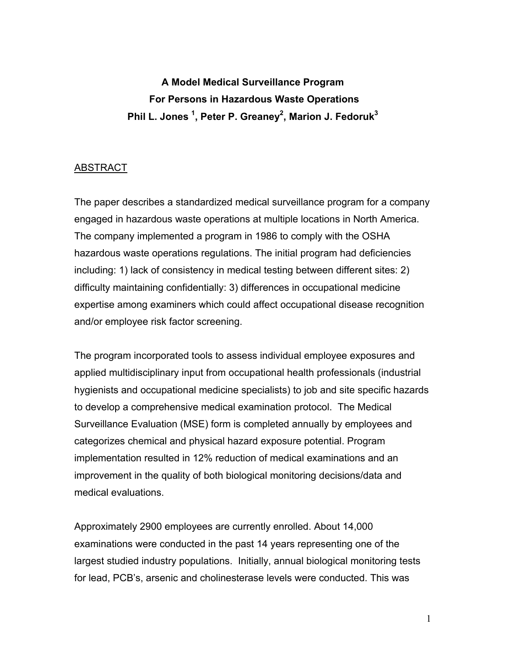**A Model Medical Surveillance Program For Persons in Hazardous Waste Operations Phil L. Jones 1 , Peter P. Greaney2 , Marion J. Fedoruk3**

## ABSTRACT

The paper describes a standardized medical surveillance program for a company engaged in hazardous waste operations at multiple locations in North America. The company implemented a program in 1986 to comply with the OSHA hazardous waste operations regulations. The initial program had deficiencies including: 1) lack of consistency in medical testing between different sites: 2) difficulty maintaining confidentially: 3) differences in occupational medicine expertise among examiners which could affect occupational disease recognition and/or employee risk factor screening.

The program incorporated tools to assess individual employee exposures and applied multidisciplinary input from occupational health professionals (industrial hygienists and occupational medicine specialists) to job and site specific hazards to develop a comprehensive medical examination protocol. The Medical Surveillance Evaluation (MSE) form is completed annually by employees and categorizes chemical and physical hazard exposure potential. Program implementation resulted in 12% reduction of medical examinations and an improvement in the quality of both biological monitoring decisions/data and medical evaluations.

Approximately 2900 employees are currently enrolled. About 14,000 examinations were conducted in the past 14 years representing one of the largest studied industry populations. Initially, annual biological monitoring tests for lead, PCB's, arsenic and cholinesterase levels were conducted. This was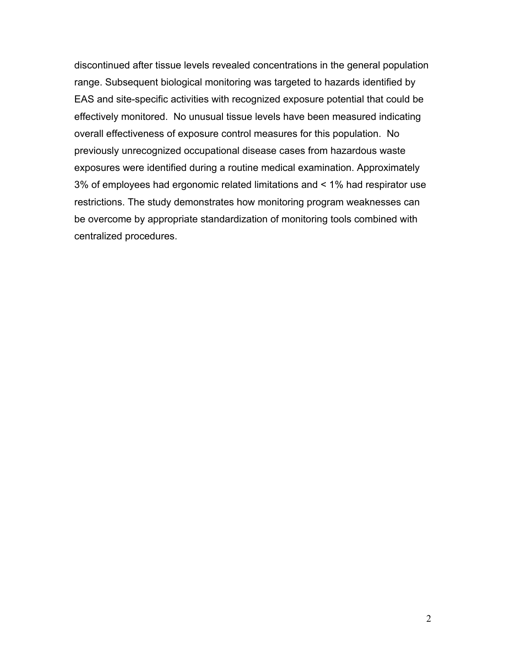discontinued after tissue levels revealed concentrations in the general population range. Subsequent biological monitoring was targeted to hazards identified by EAS and site-specific activities with recognized exposure potential that could be effectively monitored. No unusual tissue levels have been measured indicating overall effectiveness of exposure control measures for this population. No previously unrecognized occupational disease cases from hazardous waste exposures were identified during a routine medical examination. Approximately 3% of employees had ergonomic related limitations and < 1% had respirator use restrictions. The study demonstrates how monitoring program weaknesses can be overcome by appropriate standardization of monitoring tools combined with centralized procedures.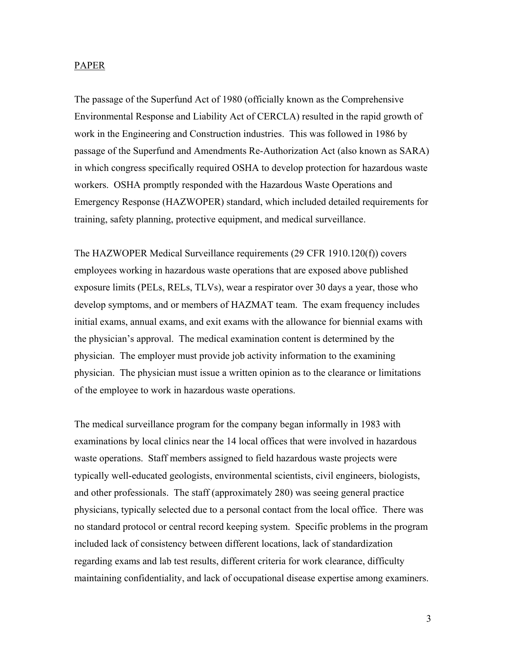#### PAPER

The passage of the Superfund Act of 1980 (officially known as the Comprehensive Environmental Response and Liability Act of CERCLA) resulted in the rapid growth of work in the Engineering and Construction industries. This was followed in 1986 by passage of the Superfund and Amendments Re-Authorization Act (also known as SARA) in which congress specifically required OSHA to develop protection for hazardous waste workers. OSHA promptly responded with the Hazardous Waste Operations and Emergency Response (HAZWOPER) standard, which included detailed requirements for training, safety planning, protective equipment, and medical surveillance.

The HAZWOPER Medical Surveillance requirements (29 CFR 1910.120(f)) covers employees working in hazardous waste operations that are exposed above published exposure limits (PELs, RELs, TLVs), wear a respirator over 30 days a year, those who develop symptoms, and or members of HAZMAT team. The exam frequency includes initial exams, annual exams, and exit exams with the allowance for biennial exams with the physician's approval. The medical examination content is determined by the physician. The employer must provide job activity information to the examining physician. The physician must issue a written opinion as to the clearance or limitations of the employee to work in hazardous waste operations.

The medical surveillance program for the company began informally in 1983 with examinations by local clinics near the 14 local offices that were involved in hazardous waste operations. Staff members assigned to field hazardous waste projects were typically well-educated geologists, environmental scientists, civil engineers, biologists, and other professionals. The staff (approximately 280) was seeing general practice physicians, typically selected due to a personal contact from the local office. There was no standard protocol or central record keeping system. Specific problems in the program included lack of consistency between different locations, lack of standardization regarding exams and lab test results, different criteria for work clearance, difficulty maintaining confidentiality, and lack of occupational disease expertise among examiners.

3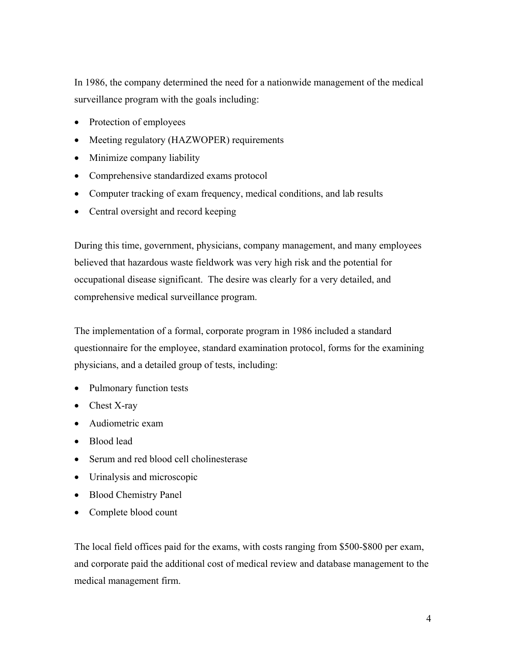In 1986, the company determined the need for a nationwide management of the medical surveillance program with the goals including:

- Protection of employees
- Meeting regulatory (HAZWOPER) requirements
- Minimize company liability
- Comprehensive standardized exams protocol
- Computer tracking of exam frequency, medical conditions, and lab results
- Central oversight and record keeping

During this time, government, physicians, company management, and many employees believed that hazardous waste fieldwork was very high risk and the potential for occupational disease significant. The desire was clearly for a very detailed, and comprehensive medical surveillance program.

The implementation of a formal, corporate program in 1986 included a standard questionnaire for the employee, standard examination protocol, forms for the examining physicians, and a detailed group of tests, including:

- Pulmonary function tests
- Chest X-ray
- Audiometric exam
- Blood lead
- Serum and red blood cell cholinesterase
- Urinalysis and microscopic
- Blood Chemistry Panel
- Complete blood count

The local field offices paid for the exams, with costs ranging from \$500-\$800 per exam, and corporate paid the additional cost of medical review and database management to the medical management firm.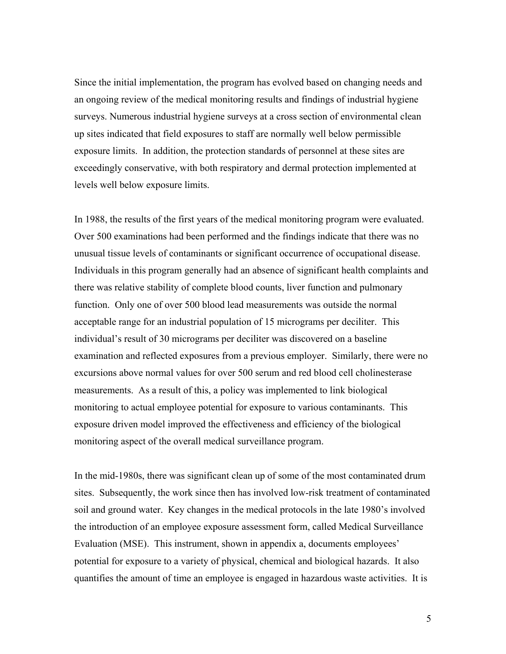Since the initial implementation, the program has evolved based on changing needs and an ongoing review of the medical monitoring results and findings of industrial hygiene surveys. Numerous industrial hygiene surveys at a cross section of environmental clean up sites indicated that field exposures to staff are normally well below permissible exposure limits. In addition, the protection standards of personnel at these sites are exceedingly conservative, with both respiratory and dermal protection implemented at levels well below exposure limits.

In 1988, the results of the first years of the medical monitoring program were evaluated. Over 500 examinations had been performed and the findings indicate that there was no unusual tissue levels of contaminants or significant occurrence of occupational disease. Individuals in this program generally had an absence of significant health complaints and there was relative stability of complete blood counts, liver function and pulmonary function. Only one of over 500 blood lead measurements was outside the normal acceptable range for an industrial population of 15 micrograms per deciliter. This individual's result of 30 micrograms per deciliter was discovered on a baseline examination and reflected exposures from a previous employer. Similarly, there were no excursions above normal values for over 500 serum and red blood cell cholinesterase measurements. As a result of this, a policy was implemented to link biological monitoring to actual employee potential for exposure to various contaminants. This exposure driven model improved the effectiveness and efficiency of the biological monitoring aspect of the overall medical surveillance program.

In the mid-1980s, there was significant clean up of some of the most contaminated drum sites. Subsequently, the work since then has involved low-risk treatment of contaminated soil and ground water. Key changes in the medical protocols in the late 1980's involved the introduction of an employee exposure assessment form, called Medical Surveillance Evaluation (MSE). This instrument, shown in appendix a, documents employees' potential for exposure to a variety of physical, chemical and biological hazards. It also quantifies the amount of time an employee is engaged in hazardous waste activities. It is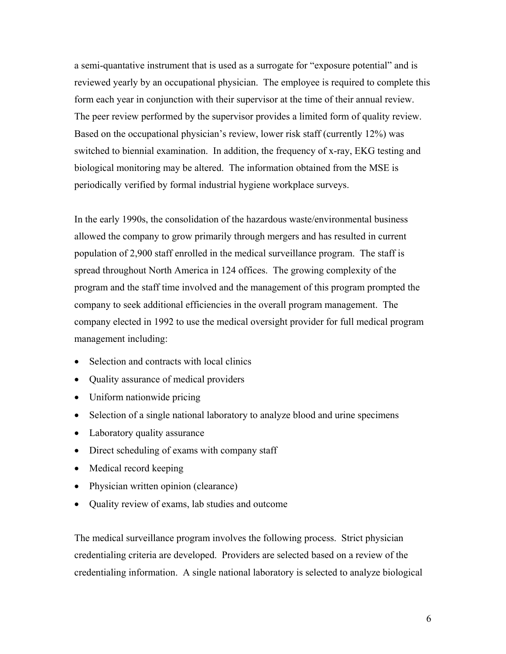a semi-quantative instrument that is used as a surrogate for "exposure potential" and is reviewed yearly by an occupational physician. The employee is required to complete this form each year in conjunction with their supervisor at the time of their annual review. The peer review performed by the supervisor provides a limited form of quality review. Based on the occupational physician's review, lower risk staff (currently 12%) was switched to biennial examination. In addition, the frequency of x-ray, EKG testing and biological monitoring may be altered. The information obtained from the MSE is periodically verified by formal industrial hygiene workplace surveys.

In the early 1990s, the consolidation of the hazardous waste/environmental business allowed the company to grow primarily through mergers and has resulted in current population of 2,900 staff enrolled in the medical surveillance program. The staff is spread throughout North America in 124 offices. The growing complexity of the program and the staff time involved and the management of this program prompted the company to seek additional efficiencies in the overall program management. The company elected in 1992 to use the medical oversight provider for full medical program management including:

- Selection and contracts with local clinics
- Quality assurance of medical providers
- Uniform nationwide pricing
- Selection of a single national laboratory to analyze blood and urine specimens
- Laboratory quality assurance
- Direct scheduling of exams with company staff
- Medical record keeping
- Physician written opinion (clearance)
- Quality review of exams, lab studies and outcome

The medical surveillance program involves the following process. Strict physician credentialing criteria are developed. Providers are selected based on a review of the credentialing information. A single national laboratory is selected to analyze biological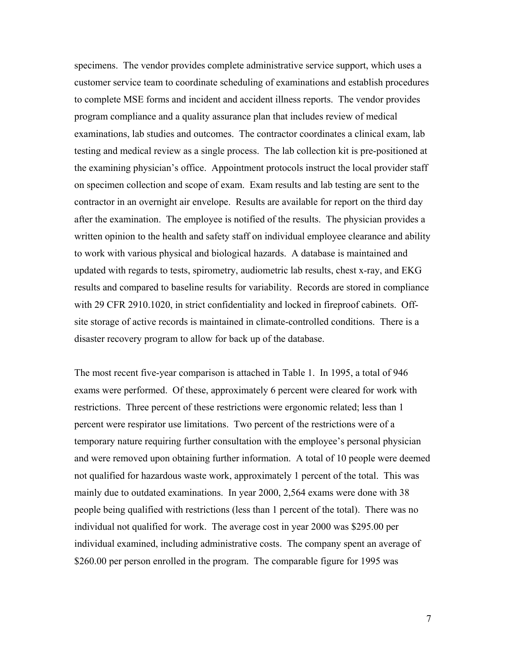specimens. The vendor provides complete administrative service support, which uses a customer service team to coordinate scheduling of examinations and establish procedures to complete MSE forms and incident and accident illness reports. The vendor provides program compliance and a quality assurance plan that includes review of medical examinations, lab studies and outcomes. The contractor coordinates a clinical exam, lab testing and medical review as a single process. The lab collection kit is pre-positioned at the examining physician's office. Appointment protocols instruct the local provider staff on specimen collection and scope of exam. Exam results and lab testing are sent to the contractor in an overnight air envelope. Results are available for report on the third day after the examination. The employee is notified of the results. The physician provides a written opinion to the health and safety staff on individual employee clearance and ability to work with various physical and biological hazards. A database is maintained and updated with regards to tests, spirometry, audiometric lab results, chest x-ray, and EKG results and compared to baseline results for variability. Records are stored in compliance with 29 CFR 2910.1020, in strict confidentiality and locked in fireproof cabinets. Offsite storage of active records is maintained in climate-controlled conditions. There is a disaster recovery program to allow for back up of the database.

The most recent five-year comparison is attached in Table 1. In 1995, a total of 946 exams were performed. Of these, approximately 6 percent were cleared for work with restrictions. Three percent of these restrictions were ergonomic related; less than 1 percent were respirator use limitations. Two percent of the restrictions were of a temporary nature requiring further consultation with the employee's personal physician and were removed upon obtaining further information. A total of 10 people were deemed not qualified for hazardous waste work, approximately 1 percent of the total. This was mainly due to outdated examinations. In year 2000, 2,564 exams were done with 38 people being qualified with restrictions (less than 1 percent of the total). There was no individual not qualified for work. The average cost in year 2000 was \$295.00 per individual examined, including administrative costs. The company spent an average of \$260.00 per person enrolled in the program. The comparable figure for 1995 was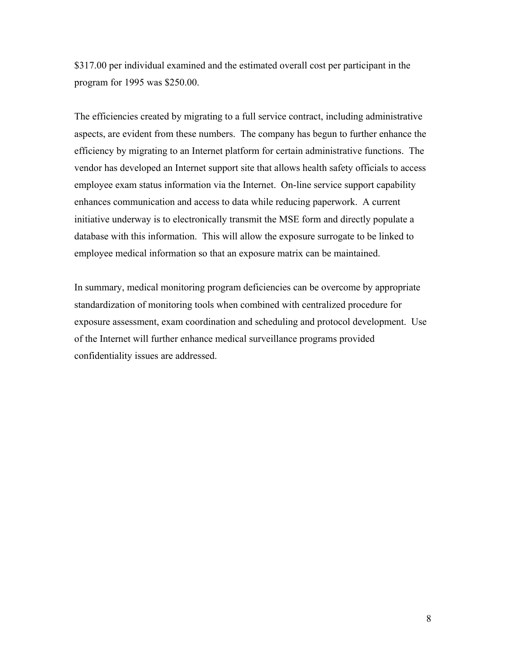\$317.00 per individual examined and the estimated overall cost per participant in the program for 1995 was \$250.00.

The efficiencies created by migrating to a full service contract, including administrative aspects, are evident from these numbers. The company has begun to further enhance the efficiency by migrating to an Internet platform for certain administrative functions. The vendor has developed an Internet support site that allows health safety officials to access employee exam status information via the Internet. On-line service support capability enhances communication and access to data while reducing paperwork. A current initiative underway is to electronically transmit the MSE form and directly populate a database with this information. This will allow the exposure surrogate to be linked to employee medical information so that an exposure matrix can be maintained.

In summary, medical monitoring program deficiencies can be overcome by appropriate standardization of monitoring tools when combined with centralized procedure for exposure assessment, exam coordination and scheduling and protocol development. Use of the Internet will further enhance medical surveillance programs provided confidentiality issues are addressed.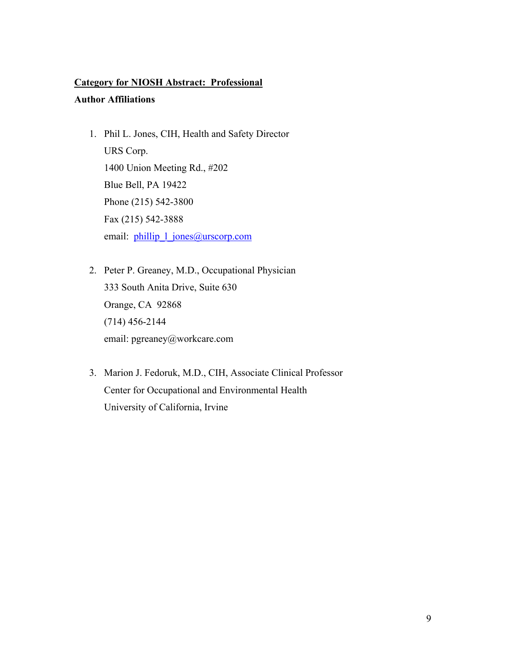#### **Category for NIOSH Abstract: Professional**

### **Author Affiliations**

- 1. Phil L. Jones, CIH, Health and Safety Director URS Corp. 1400 Union Meeting Rd., #202 Blue Bell, PA 19422 Phone (215) 542-3800 Fax (215) 542-3888 email: phillip 1 jones@urscorp.com
- 2. Peter P. Greaney, M.D., Occupational Physician 333 South Anita Drive, Suite 630 Orange, CA 92868 (714) 456-2144 email: pgreaney@workcare.com
- 3. Marion J. Fedoruk, M.D., CIH, Associate Clinical Professor Center for Occupational and Environmental Health University of California, Irvine